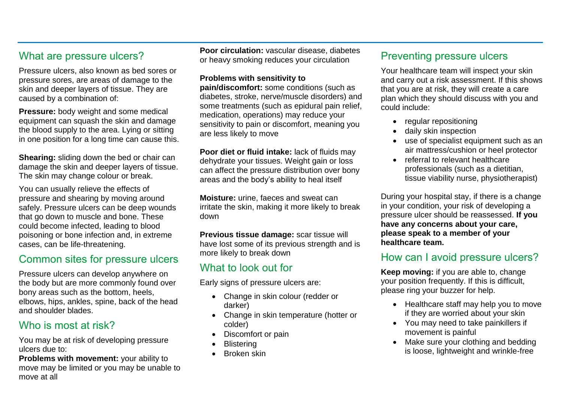# What are pressure ulcers?

Pressure ulcers, also known as bed sores or pressure sores, are areas of damage to the skin and deeper layers of tissue. They are caused by a combination of:

**Pressure:** body weight and some medical equipment can squash the skin and damage the blood supply to the area. Lying or sitting in one position for a long time can cause this.

**Shearing:** sliding down the bed or chair can damage the skin and deeper layers of tissue. The skin may change colour or break.

You can usually relieve the effects of pressure and shearing by moving around safely. Pressure ulcers can be deep wounds that go down to muscle and bone. These could become infected, leading to blood poisoning or bone infection and, in extreme cases, can be life-threatening.

# Common sites for pressure ulcers

Pressure ulcers can develop anywhere on the body but are more commonly found over bony areas such as the bottom, heels, elbows, hips, ankles, spine, back of the head and shoulder blades.

# Who is most at risk?

You may be at risk of developing pressure ulcers due to:

**Problems with movement:** your ability to move may be limited or you may be unable to move at all

**Poor circulation:** vascular disease, diabetes or heavy smoking reduces your circulation

#### **Problems with sensitivity to**

**pain/discomfort:** some conditions (such as diabetes, stroke, nerve/muscle disorders) and some treatments (such as epidural pain relief, medication, operations) may reduce your sensitivity to pain or discomfort, meaning you are less likely to move

**Poor diet or fluid intake:** lack of fluids may dehydrate your tissues. Weight gain or loss can affect the pressure distribution over bony areas and the body's ability to heal itself

**Moisture:** urine, faeces and sweat can irritate the skin, making it more likely to break down

**Previous tissue damage:** scar tissue will have lost some of its previous strength and is more likely to break down

# What to look out for

Early signs of pressure ulcers are:

- Change in skin colour (redder or darker)
- Change in skin temperature (hotter or colder)
- Discomfort or pain
- **Blistering**
- Broken skin

# Preventing pressure ulcers

Your healthcare team will inspect your skin and carry out a risk assessment. If this shows that you are at risk, they will create a care plan which they should discuss with you and could include:

- regular repositioning
- daily skin inspection
- use of specialist equipment such as an air mattress/cushion or heel protector
- referral to relevant healthcare professionals (such as a dietitian, tissue viability nurse, physiotherapist)

During your hospital stay, if there is a change in your condition, your risk of developing a pressure ulcer should be reassessed. **If you have any concerns about your care, please speak to a member of your healthcare team.**

# How can I avoid pressure ulcers?

**Keep moving:** if you are able to, change your position frequently. If this is difficult, please ring your buzzer for help.

- Healthcare staff may help you to move if they are worried about your skin
- You may need to take painkillers if movement is painful
- Make sure your clothing and bedding is loose, lightweight and wrinkle-free